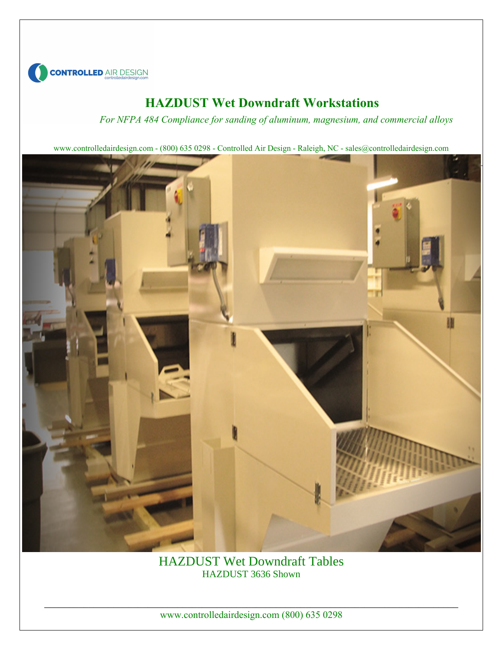

#### **HAZDUST Wet Downdraft Workstations**

*For NFPA 484 Compliance for sanding of aluminum, magnesium, and commercial alloys*

www.controlledairdesign.com - (800) 635 0298 - Controlled Air Design - Raleigh, NC - sales@controlledairdesign.com



HAZDUST Wet Downdraft Tables HAZDUST 3636 Shown

\_\_\_\_\_\_\_\_\_\_\_\_\_\_\_\_\_\_\_\_\_\_\_\_\_\_\_\_\_\_\_\_\_\_\_\_\_\_\_\_\_\_\_\_\_\_\_\_\_\_\_\_\_\_\_\_\_\_\_\_\_\_\_\_\_\_\_\_\_\_\_\_\_\_\_\_\_\_\_\_\_\_\_\_ www.controlledairdesign.com (800) 635 0298